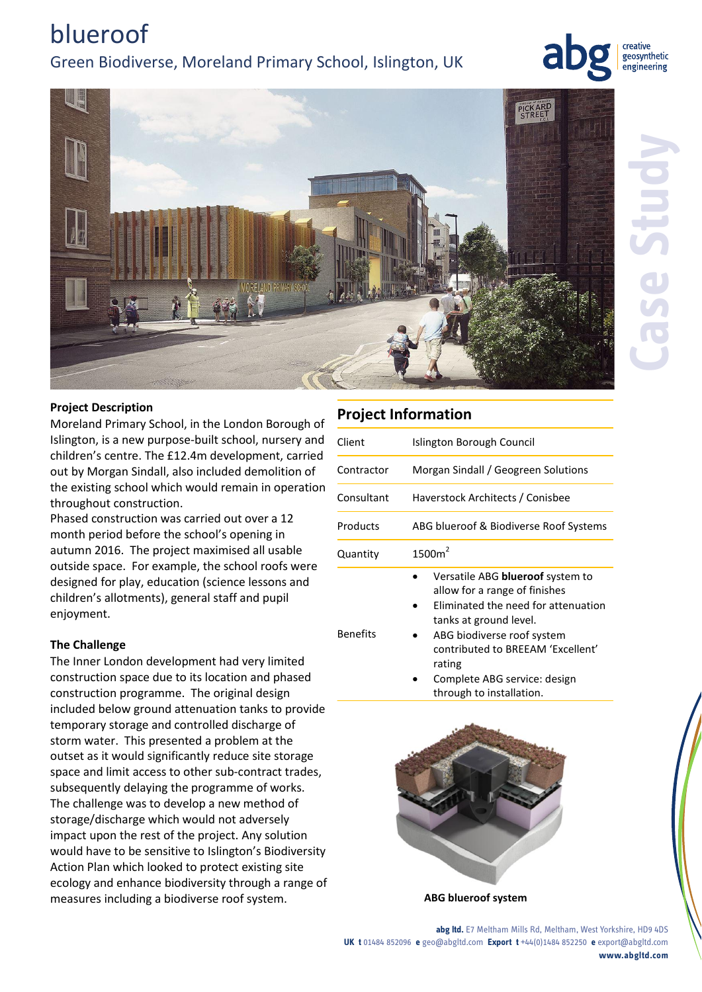# **Case Study**

creative

# Green Biodiverse, Moreland Primary School, Islington, UK

# **Project Description**

blueroof

Moreland Primary School, in the London Borough of Islington, is a new purpose-built school, nursery and children's centre. The £12.4m development, carried out by Morgan Sindall, also included demolition of the existing school which would remain in operation throughout construction.

Phased construction was carried out over a 12 month period before the school's opening in autumn 2016. The project maximised all usable outside space. For example, the school roofs were designed for play, education (science lessons and children's allotments), general staff and pupil enjoyment.

### **The Challenge**

The Inner London development had very limited construction space due to its location and phased construction programme. The original design included below ground attenuation tanks to provide temporary storage and controlled discharge of storm water. This presented a problem at the outset as it would significantly reduce site storage space and limit access to other sub-contract trades, subsequently delaying the programme of works. The challenge was to develop a new method of storage/discharge which would not adversely impact upon the rest of the project. Any solution would have to be sensitive to Islington's Biodiversity Action Plan which looked to protect existing site ecology and enhance biodiversity through a range of measures including a biodiverse roof system. **ABG blueroof system**

# **Project Information**

| Client          | Islington Borough Council                                                                                                                                               |
|-----------------|-------------------------------------------------------------------------------------------------------------------------------------------------------------------------|
| Contractor      | Morgan Sindall / Geogreen Solutions                                                                                                                                     |
| Consultant      | Haverstock Architects / Conisbee                                                                                                                                        |
| Products        | ABG blueroof & Biodiverse Roof Systems                                                                                                                                  |
| Quantity        | 1500m <sup>2</sup>                                                                                                                                                      |
| <b>Benefits</b> | Versatile ABG <b>blueroof</b> system to<br>allow for a range of finishes<br>Eliminated the need for attenuation<br>tanks at ground level.<br>ABG biodiverse roof system |

- ABG biodiverse roof system contributed to BREEAM 'Excellent' rating
	- Complete ABG service: design through to installation.